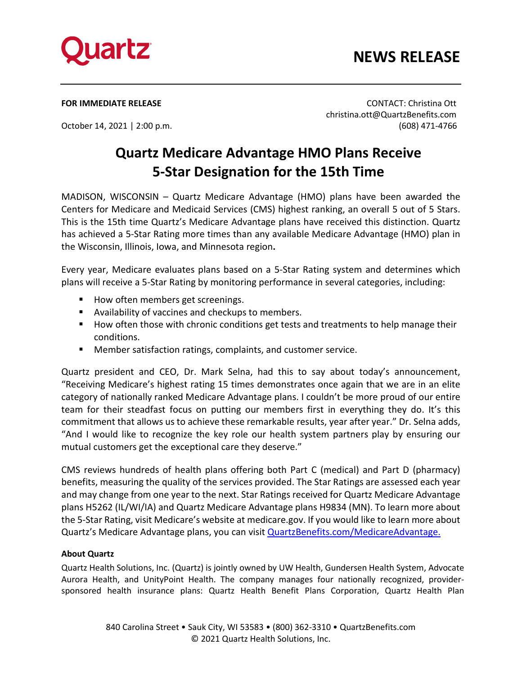

## **NEWS RELEASE**

**FOR IMMEDIATE RELEASE** CONTACT: Christina Ott christina.ott@QuartzBenefits.com October 14, 2021 | 2:00 p.m. (608) 471-4766

## **Quartz Medicare Advantage HMO Plans Receive 5-Star Designation for the 15th Time**

MADISON, WISCONSIN – Quartz Medicare Advantage (HMO) plans have been awarded the Centers for Medicare and Medicaid Services (CMS) highest ranking, an overall 5 out of 5 Stars. This is the 15th time Quartz's Medicare Advantage plans have received this distinction. Quartz has achieved a 5-Star Rating more times than any available Medicare Advantage (HMO) plan in the Wisconsin, Illinois, Iowa, and Minnesota region**.**

Every year, Medicare evaluates plans based on a 5-Star Rating system and determines which plans will receive a 5-Star Rating by monitoring performance in several categories, including:

- How often members get screenings.
- Availability of vaccines and checkups to members.
- **How often those with chronic conditions get tests and treatments to help manage their** conditions.
- Member satisfaction ratings, complaints, and customer service.

Quartz president and CEO, Dr. Mark Selna, had this to say about today's announcement, "Receiving Medicare's highest rating 15 times demonstrates once again that we are in an elite category of nationally ranked Medicare Advantage plans. I couldn't be more proud of our entire team for their steadfast focus on putting our members first in everything they do. It's this commitment that allows us to achieve these remarkable results, year after year." Dr. Selna adds, "And I would like to recognize the key role our health system partners play by ensuring our mutual customers get the exceptional care they deserve."

CMS reviews hundreds of health plans offering both Part C (medical) and Part D (pharmacy) benefits, measuring the quality of the services provided. The Star Ratings are assessed each year and may change from one year to the next. Star Ratings received for Quartz Medicare Advantage plans H5262 (IL/WI/IA) and Quartz Medicare Advantage plans H9834 (MN). To learn more about the 5-Star Rating, visit Medicare's website at medicare.gov. If you would like to learn more about Quartz's Medicare Advantage plans, you can visit [QuartzBenefits.com/MedicareAdvantage.](https://quartzbenefits.com/members/members-health-insurance-services-wisconsin/medicare-plan-members/medicare-advantage)

## **About Quartz**

Quartz Health Solutions, Inc. (Quartz) is jointly owned by UW Health, Gundersen Health System, Advocate Aurora Health, and UnityPoint Health. The company manages four nationally recognized, providersponsored health insurance plans: Quartz Health Benefit Plans Corporation, Quartz Health Plan